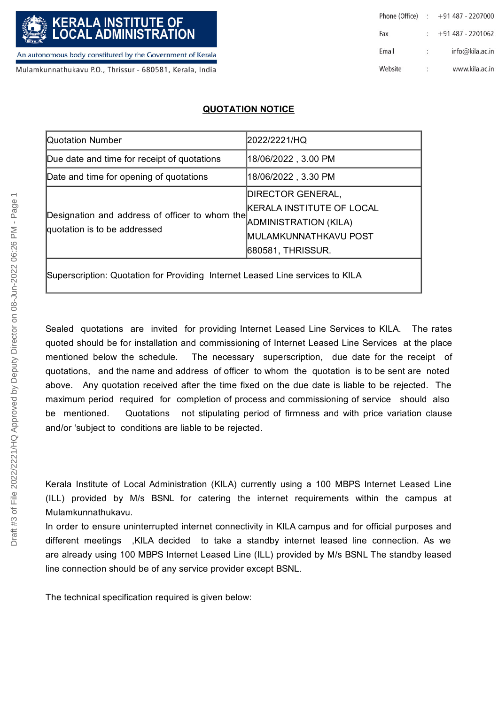Mulamkunnathukavu P.O., Thrissur - 680581, Kerala, India

| Phone (Office) : |    | $+91$ 487 - 2207000 |
|------------------|----|---------------------|
| Fax              |    | $+91487 - 2201062$  |
| Email            | 41 | info@kila.ac.in     |
| Website          | ٠  | www.kila.ac.in      |

## **QUOTATION NOTICE**

| 18/06/2022 , 3.00 PM      |
|---------------------------|
| 18/06/2022 , 3.30 PM      |
| <b>DIRECTOR GENERAL,</b>  |
| KERALA INSTITUTE OF LOCAL |
| ADMINISTRATION (KILA)     |
| MULAMKUNNATHKAVU POST     |
| 680581, THRISSUR.         |
|                           |

Superscription: Quotation for Providing Internet Leased Line services to KILA

Sealed quotations are invited for providing Internet Leased Line Services to KILA. The rates quoted should be for installation and commissioning of Internet Leased Line Services at the place mentioned below the schedule. The necessary superscription, due date for the receipt of quotations, and the name and address of officer to whom the quotation is to be sent are noted above. Any quotation received after the time fixed on the due date is liable to be rejected. The maximum period required for completion of process and commissioning of service should also be mentioned. Quotations not stipulating period of firmness and with price variation clause and/or 'subject to conditions are liable to be rejected. The technical specification required is given below:<br>
The technical specification required is given by the distance of the distance of the distance of the distance of the distance of the distance of the distance of the di

Kerala Institute of Local Administration (KILA) currently using a 100 MBPS Internet Leased Line (ILL) provided by M/s BSNL for catering the internet requirements within the campus at Mulamkunnathukavu.

In order to ensure uninterrupted internet connectivity in KILA campus and for official purposes and different meetings ,KILA decided to take a standby internet leased line connection. As we are already using 100 MBPS Internet Leased Line (ILL) provided by M/s BSNL The standby leased line connection should be of any service provider except BSNL.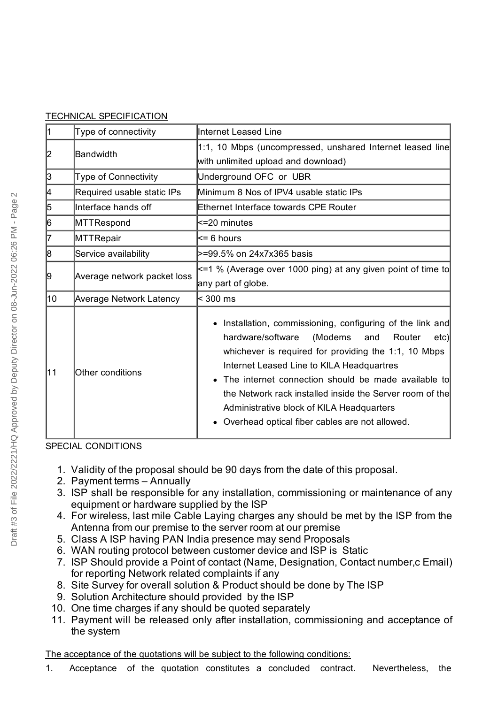| <b>TECHNICAL SPECIFICATION</b> |
|--------------------------------|
|                                |

| 1  | Type of connectivity           | Internet Leased Line                                                                                                                                                                                                                                                                                                                                                                                                                      |  |
|----|--------------------------------|-------------------------------------------------------------------------------------------------------------------------------------------------------------------------------------------------------------------------------------------------------------------------------------------------------------------------------------------------------------------------------------------------------------------------------------------|--|
| 2  | Bandwidth                      | 1:1, 10 Mbps (uncompressed, unshared Internet leased line<br>with unlimited upload and download)                                                                                                                                                                                                                                                                                                                                          |  |
| 3  | <b>Type of Connectivity</b>    | Underground OFC or UBR                                                                                                                                                                                                                                                                                                                                                                                                                    |  |
| 4  | Required usable static IPs     | Minimum 8 Nos of IPV4 usable static IPs                                                                                                                                                                                                                                                                                                                                                                                                   |  |
| 5  | Interface hands off            | <b>Ethernet Interface towards CPE Router</b>                                                                                                                                                                                                                                                                                                                                                                                              |  |
| 6  | MTTRespond                     | <=20 minutes                                                                                                                                                                                                                                                                                                                                                                                                                              |  |
| 7  | MTTRepair                      | $\leq$ 6 hours                                                                                                                                                                                                                                                                                                                                                                                                                            |  |
| 8  | Service availability           | >=99.5% on 24x7x365 basis                                                                                                                                                                                                                                                                                                                                                                                                                 |  |
| 9  | Average network packet loss    | <=1 % (Average over 1000 ping) at any given point of time to<br>any part of globe.                                                                                                                                                                                                                                                                                                                                                        |  |
| 10 | <b>Average Network Latency</b> | < 300 ms                                                                                                                                                                                                                                                                                                                                                                                                                                  |  |
| 11 | Other conditions               | Installation, commissioning, configuring of the link and<br>hardware/software<br>(Modems)<br>and<br>Router<br>etc)<br>whichever is required for providing the 1:1, 10 Mbps<br>Internet Leased Line to KILA Headquartres<br>The internet connection should be made available to<br>the Network rack installed inside the Server room of the<br>Administrative block of KILA Headquarters<br>Overhead optical fiber cables are not allowed. |  |

SPECIAL CONDITIONS

- 1. Validity of the proposal should be 90 days from the date of this proposal.
- 2. Payment terms Annually
- 3. ISP shall be responsible for any installation, commissioning or maintenance of any equipment or hardware supplied by the ISP
- 4. For wireless, last mile Cable Laying charges any should be met by the ISP from the Antenna from our premise to the server room at our premise
- 5. Class A ISP having PAN India presence may send Proposals
- 6. WAN routing protocol between customer device and ISP is Static
- 7. ISP Should provide a Point of contact (Name, Designation, Contact number,c Email) for reporting Network related complaints if any
- 8. Site Survey for overall solution & Product should be done by The ISP
- 9. Solution Architecture should provided by the ISP
- 10. One time charges if any should be quoted separately
- 11. Payment will be released only after installation, commissioning and acceptance of the system

The acceptance of the quotations will be subject to the following conditions:

1. Acceptance of the quotation constitutes a concluded contract. Nevertheless, the